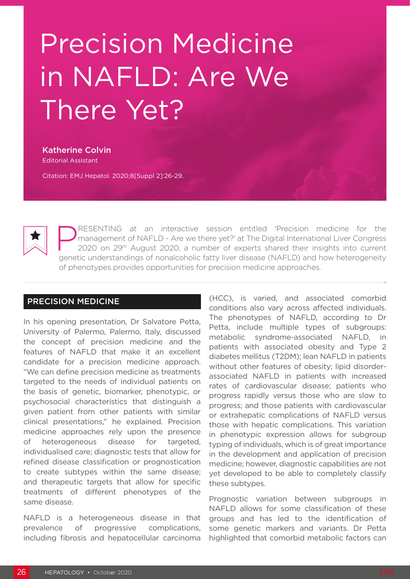# Precision Medicine in NAFLD: Are We There Yet?

Katherine Colvin Editorial Assistant

Citation: EMJ Hepatol. 2020;8[Suppl 2]:26-29.



**PRESENTING at an interactive session entitled 'Precision medicine for the management of NAFLD - Are we there yet?' at The Digital International Liver Congress 2020 on 29<sup>th</sup> August 2020, a number of experts shared their i** management of NAFLD - Are we there yet?' at The Digital International Liver Congress genetic understandings of nonalcoholic fatty liver disease (NAFLD) and how heterogeneity of phenotypes provides opportunities for precision medicine approaches.

#### PRECISION MEDICINE

In his opening presentation, Dr Salvatore Petta, University of Palermo, Palermo, Italy, discussed the concept of precision medicine and the features of NAFLD that make it an excellent candidate for a precision medicine approach. "We can define precision medicine as treatments targeted to the needs of individual patients on the basis of genetic, biomarker, phenotypic, or psychosocial characteristics that distinguish a given patient from other patients with similar clinical presentations," he explained. Precision medicine approaches rely upon the presence of heterogeneous disease for targeted, individualised care; diagnostic tests that allow for refined disease classification or prognostication to create subtypes within the same disease; and therapeutic targets that allow for specific treatments of different phenotypes of the same disease.

NAFLD is a heterogeneous disease in that prevalence of progressive complications, including fibrosis and hepatocellular carcinoma (HCC), is varied, and associated comorbid conditions also vary across affected individuals. The phenotypes of NAFLD, according to Dr Petta, include multiple types of subgroups: metabolic syndrome-associated NAFLD, in patients with associated obesity and Type 2 diabetes mellitus (T2DM); lean NAFLD in patients without other features of obesity: lipid disorderassociated NAFLD in patients with increased rates of cardiovascular disease; patients who progress rapidly versus those who are slow to progress; and those patients with cardiovascular or extrahepatic complications of NAFLD versus those with hepatic complications. This variation in phenotypic expression allows for subgroup typing of individuals, which is of great importance in the development and application of precision medicine; however, diagnostic capabilities are not yet developed to be able to completely classify these subtypes.

Prognostic variation between subgroups in NAFLD allows for some classification of these groups and has led to the identification of some genetic markers and variants. Dr Petta highlighted that comorbid metabolic factors can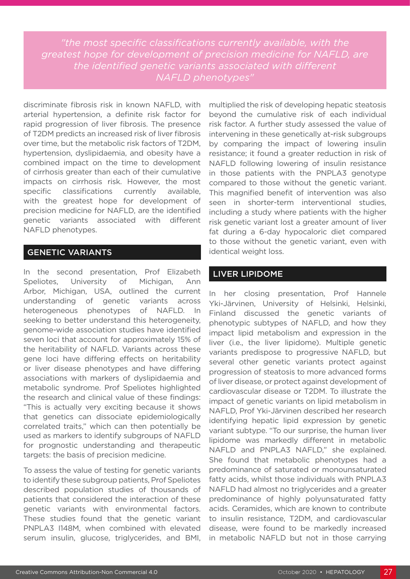*"the most specific classifications currently available, with the greatest hope for development of precision medicine for NAFLD, are the identified genetic variants associated with different NAFLD phenotypes"*

discriminate fibrosis risk in known NAFLD, with arterial hypertension, a definite risk factor for rapid progression of liver fibrosis. The presence of T2DM predicts an increased risk of liver fibrosis over time, but the metabolic risk factors of T2DM, hypertension, dyslipidaemia, and obesity have a combined impact on the time to development of cirrhosis greater than each of their cumulative impacts on cirrhosis risk. However, the most specific classifications currently available, with the greatest hope for development of precision medicine for NAFLD, are the identified genetic variants associated with different NAFLD phenotypes.

# GENETIC VARIANTS

In the second presentation, Prof Elizabeth Speliotes, University of Michigan, Ann Arbor, Michigan, USA, outlined the current understanding of genetic variants across heterogeneous phenotypes of NAFLD. In seeking to better understand this heterogeneity, genome-wide association studies have identified seven loci that account for approximately 15% of the heritability of NAFLD. Variants across these gene loci have differing effects on heritability or liver disease phenotypes and have differing associations with markers of dyslipidaemia and metabolic syndrome. Prof Speliotes highlighted the research and clinical value of these findings: "This is actually very exciting because it shows that genetics can dissociate epidemiologically correlated traits," which can then potentially be used as markers to identify subgroups of NAFLD for prognostic understanding and therapeutic targets: the basis of precision medicine.

To assess the value of testing for genetic variants to identify these subgroup patients, Prof Speliotes described population studies of thousands of patients that considered the interaction of these genetic variants with environmental factors. These studies found that the genetic variant PNPLA3 I148M, when combined with elevated serum insulin, glucose, triglycerides, and BMI, multiplied the risk of developing hepatic steatosis beyond the cumulative risk of each individual risk factor. A further study assessed the value of intervening in these genetically at-risk subgroups by comparing the impact of lowering insulin resistance; it found a greater reduction in risk of NAFLD following lowering of insulin resistance in those patients with the PNPLA3 genotype compared to those without the genetic variant. This magnified benefit of intervention was also seen in shorter-term interventional studies, including a study where patients with the higher risk genetic variant lost a greater amount of liver fat during a 6-day hypocaloric diet compared to those without the genetic variant, even with identical weight loss.

## LIVER LIPIDOME

In her closing presentation, Prof Hannele Yki-Järvinen, University of Helsinki, Helsinki, Finland discussed the genetic variants of phenotypic subtypes of NAFLD, and how they impact lipid metabolism and expression in the liver (i.e., the liver lipidome). Multiple genetic variants predispose to progressive NAFLD, but several other genetic variants protect against progression of steatosis to more advanced forms of liver disease, or protect against development of cardiovascular disease or T2DM. To illustrate the impact of genetic variants on lipid metabolism in NAFLD, Prof Yki-Järvinen described her research identifying hepatic lipid expression by genetic variant subtype. "To our surprise, the human liver lipidome was markedly different in metabolic NAFLD and PNPLA3 NAFLD," she explained. She found that metabolic phenotypes had a predominance of saturated or monounsaturated fatty acids, whilst those individuals with PNPLA3 NAFLD had almost no triglycerides and a greater predominance of highly polyunsaturated fatty acids. Ceramides, which are known to contribute to insulin resistance, T2DM, and cardiovascular disease, were found to be markedly increased in metabolic NAFLD but not in those carrying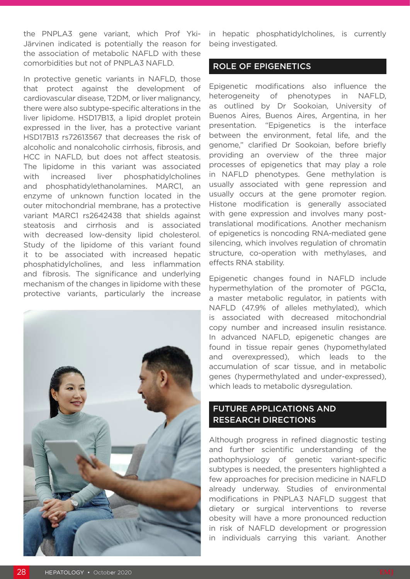the PNPLA3 gene variant, which Prof Yki-Järvinen indicated is potentially the reason for the association of metabolic NAFLD with these comorbidities but not of PNPLA3 NAFLD.

In protective genetic variants in NAFLD, those that protect against the development of cardiovascular disease, T2DM, or liver malignancy, there were also subtype-specific alterations in the liver lipidome. HSD17B13, a lipid droplet protein expressed in the liver, has a protective variant HSD17B13 rs72613567 that decreases the risk of alcoholic and nonalcoholic cirrhosis, fibrosis, and HCC in NAFLD, but does not affect steatosis. The lipidome in this variant was associated with increased liver phosphatidylcholines and phosphatidylethanolamines. MARC1, an enzyme of unknown function located in the outer mitochondrial membrane, has a protective variant MARC1 rs2642438 that shields against steatosis and cirrhosis and is associated with decreased low-density lipid cholesterol. Study of the lipidome of this variant found it to be associated with increased hepatic phosphatidylcholines, and less inflammation and fibrosis. The significance and underlying mechanism of the changes in lipidome with these protective variants, particularly the increase



in hepatic phosphatidylcholines, is currently being investigated.

### ROLE OF EPIGENETICS

Epigenetic modifications also influence the heterogeneity of phenotypes in NAFLD, as outlined by Dr Sookoian, University of Buenos Aires, Buenos Aires, Argentina, in her presentation. "Epigenetics is the interface between the environment, fetal life, and the genome," clarified Dr Sookoian, before briefly providing an overview of the three major processes of epigenetics that may play a role in NAFLD phenotypes. Gene methylation is usually associated with gene repression and usually occurs at the gene promoter region. Histone modification is generally associated with gene expression and involves many posttranslational modifications. Another mechanism of epigenetics is noncoding RNA-mediated gene silencing, which involves regulation of chromatin structure, co-operation with methylases, and effects RNA stability.

Epigenetic changes found in NAFLD include hypermethylation of the promoter of PGC1α, a master metabolic regulator, in patients with NAFLD (47.9% of alleles methylated), which is associated with decreased mitochondrial copy number and increased insulin resistance. In advanced NAFLD, epigenetic changes are found in tissue repair genes (hypomethylated and overexpressed), which leads to the accumulation of scar tissue, and in metabolic genes (hypermethylated and under-expressed), which leads to metabolic dysregulation.

## FUTURE APPLICATIONS AND RESEARCH DIRECTIONS

Although progress in refined diagnostic testing and further scientific understanding of the pathophysiology of genetic variant-specific subtypes is needed, the presenters highlighted a few approaches for precision medicine in NAFLD already underway. Studies of environmental modifications in PNPLA3 NAFLD suggest that dietary or surgical interventions to reverse obesity will have a more pronounced reduction in risk of NAFLD development or progression in individuals carrying this variant. Another